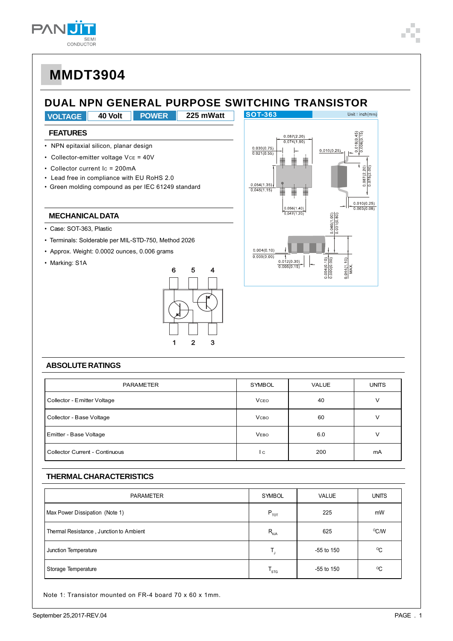

## **DUAL NPN GENERAL PURPOSE SWITCHING TRANSISTOR**

**VOLTAGE 40 Volt 225 mWatt POWER**

### **FEATURES**

- NPN epitaxial silicon, planar design
- Collector-emitter voltage VcE = 40V
- Collector current Ic = 200mA
- Lead free in compliance with EU RoHS 2.0
- Green molding compound as per IEC 61249 standard

### **MECHANICAL DATA**

- Case: SOT-363, Plastic
- Terminals: Solderable per MIL-STD-750, Method 2026
- Approx. Weight: 0.0002 ounces, 0.006 grams
- Marking: S1A





#### **ABSOLUTE RATINGS**

| PARAMETER                             | <b>SYMBOL</b> | <b>VALUE</b> | <b>UNITS</b> |
|---------------------------------------|---------------|--------------|--------------|
| Collector - Emitter Voltage           | <b>V</b> ceo  | 40           | V            |
| Collector - Base Voltage              | <b>V</b> сво  | 60           | ν            |
| Emitter - Base Voltage                | <b>VEBO</b>   | 6.0          | v            |
| <b>Collector Current - Continuous</b> | l c           | 200          | mA           |

#### **THERMAL CHARACTERISTICS**

| <b>PARAMETER</b>                        | SYMBOL           | <b>VALUE</b> | <b>UNITS</b> |
|-----------------------------------------|------------------|--------------|--------------|
| Max Power Dissipation (Note 1)          | $P_{\text{TOT}}$ | 225          | mW           |
| Thermal Resistance, Junction to Ambient | $R_{\theta JA}$  | 625          | °C/W         |
| Junction Temperature                    |                  | $-55$ to 150 | $^{\circ}$ C |
| Storage Temperature                     | $T_{\rm src}$    | -55 to 150   | $^{\circ}$ C |

Note 1: Transistor mounted on FR-4 board 70 x 60 x 1mm.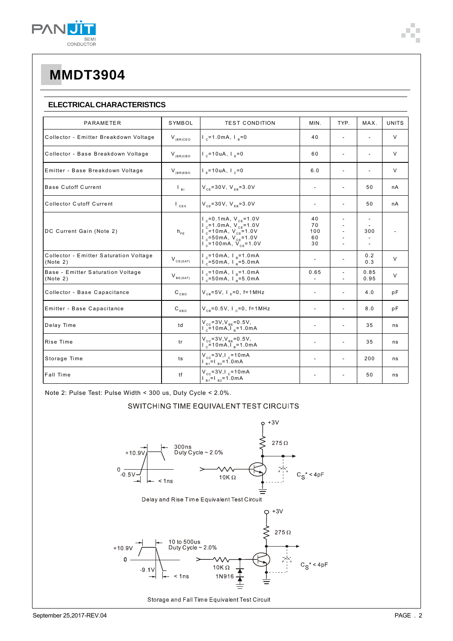

### **ELECTRICAL CHARACTERISTICS**

| PARAMETER                                          | SYMBOL                                   | <b>TEST CONDITION</b>                                                                                                                                                                                              | MIN.                        | TYP.                                       | MAX.           | <b>UNITS</b> |
|----------------------------------------------------|------------------------------------------|--------------------------------------------------------------------------------------------------------------------------------------------------------------------------------------------------------------------|-----------------------------|--------------------------------------------|----------------|--------------|
| Collector - Emitter Breakdown Voltage              | $V_{(BR)CEO}$                            | $I_{c}$ =1.0mA, $I_{p}$ =0                                                                                                                                                                                         | 40                          | $\overline{a}$                             |                | V            |
| Collector - Base Breakdown Voltage                 | $V_{(BR)CBO}$                            | $I_c = 10 uA, I_c = 0$                                                                                                                                                                                             | 60                          | $\overline{a}$                             |                | V            |
| Emitter - Base Breakdown Voltage                   | $V_{(BR)EBO}$                            | $I_e = 10uA, I_e = 0$                                                                                                                                                                                              | 6.0                         | $\overline{\phantom{a}}$                   | $\overline{a}$ | $\vee$       |
| <b>Base Cutoff Current</b>                         | $\mathsf{L}_{\mathsf{BL}}$               | $V_{CF} = 30V$ , $V_{FB} = 3.0V$                                                                                                                                                                                   | $\overline{\phantom{a}}$    | $\overline{\phantom{a}}$                   | 50             | nA           |
| <b>Collector Cutoff Current</b>                    | $\mathsf{I}_{\mathsf{cex}}$              | $V_{CF} = 30V$ , $V_{FB} = 3.0V$                                                                                                                                                                                   | $\overline{\phantom{a}}$    | $\overline{a}$                             | 50             | nA           |
| DC Current Gain (Note 2)                           | $h_{FF}$                                 | $V_{c} = 0.1$ mA, $V_{c} = 1.0$ V<br>$V_{c} = 1.0$ m A, $V_{c} = 1.0$ V<br>$V_{c}$ =10mA, $V_{cE}$ =1.0V<br>$V_{c} = 50 \text{ mA}, V_{cE} = 1.0 \text{ V}$<br>$\overline{1}$ = 100 mA, $\overline{V}_{CF}$ = 1.0V | 40<br>70<br>100<br>60<br>30 |                                            | 300            |              |
| Collector - Emitter Saturation Voltage<br>(Note 2) | $\mathsf{V}_{\text{\tiny CE(SAT)}}$      | $I_{c}$ =10mA, $I_{p}$ =1.0mA<br>$I_{c}$ =50mA, $I_{B}$ =5.0mA                                                                                                                                                     | $\overline{a}$              |                                            | 0.2<br>0.3     | V            |
| Base - Emitter Saturation Voltage<br>(Note 2)      | $\mathsf{V}_{\mathsf{BE}(\mathsf{SAT})}$ | $I_c = 10mA, I_e = 1.0mA$<br>$1e^{-50}$ mA, $1e^{-5.0}$ mA                                                                                                                                                         | 0.65                        | $\overline{\phantom{a}}$<br>$\overline{a}$ | 0.85<br>0.95   | V            |
| Collector - Base Capacitance                       | $\mathtt{C_{_{CBO}}}$                    | $V_{CB} = 5V$ , $I_E = 0$ , $f = 1 MHz$                                                                                                                                                                            | $\overline{\phantom{a}}$    | $\overline{a}$                             | 4.0            | рF           |
| Emitter - Base Capacitance                         | $\mathsf{C}_{_{\mathsf{EBO}}}$           | $V_{CB} = 0.5V$ , $I_{C} = 0$ , $f = 1MHz$                                                                                                                                                                         | $\overline{\phantom{a}}$    | $\overline{a}$                             | 8.0            | рF           |
| Delay Time                                         | td                                       | $V_{cc} = 3V, V_{BE} = 0.5V,$<br>$V_{c} = 10mA, V_{B} = 1.0mA$                                                                                                                                                     | $\overline{\phantom{a}}$    |                                            | 35             | ns           |
| Rise Time                                          | tr                                       | $V_{cc} = 3V$ , $V_{BE} = 0.5V$ ,<br>$\frac{1}{2}$ = 10 m A, $\frac{1}{1}$ <sub>B</sub> = 1.0 m A                                                                                                                  | $\overline{\phantom{a}}$    | $\overline{a}$                             | 35             | ns           |
| Storage Time                                       | ts                                       | $V_{cc} = 3V I_{c} = 10mA$<br>$\frac{1}{B_1}$ = $\frac{1}{B_2}$ =1.0 m A                                                                                                                                           | $\overline{\phantom{a}}$    | $\overline{a}$                             | 200            | ns           |
| Fall Time                                          | tf                                       | $V_{cc} = 3V I_c = 10 mA$<br>$\frac{1}{B_1}$ = $\frac{1}{B_2}$ =1.0 mA                                                                                                                                             |                             | $\overline{\phantom{a}}$                   | 50             | ns           |

Note 2: Pulse Test: Pulse Width < 300 us, Duty Cycle < 2.0%.

### SWITCHING TIME EQUIVALENT TEST CIRCUITS

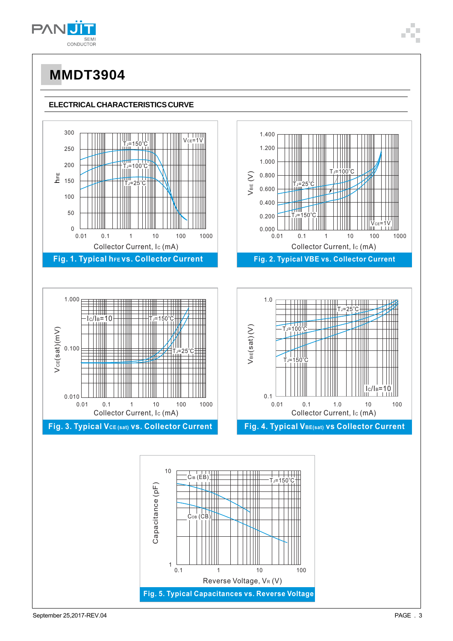

### **ELECTRICAL CHARACTERISTICS CURVE**

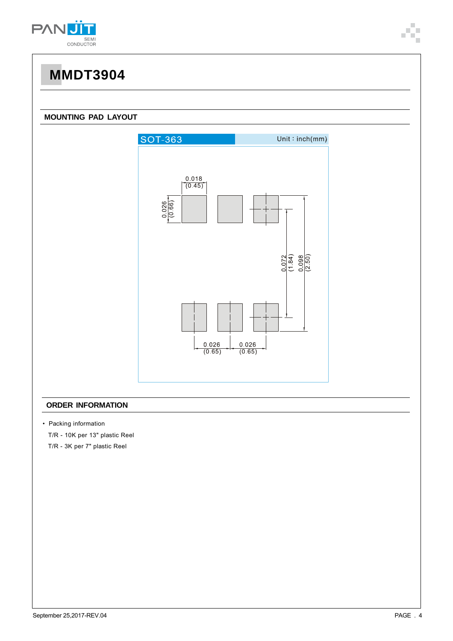

### **MOUNTING PAD LAYOUT**



### **ORDER INFORMATION**

• Packing information

T/R - 10K per 13" plastic Reel

T/R - 3K per 7" plastic Reel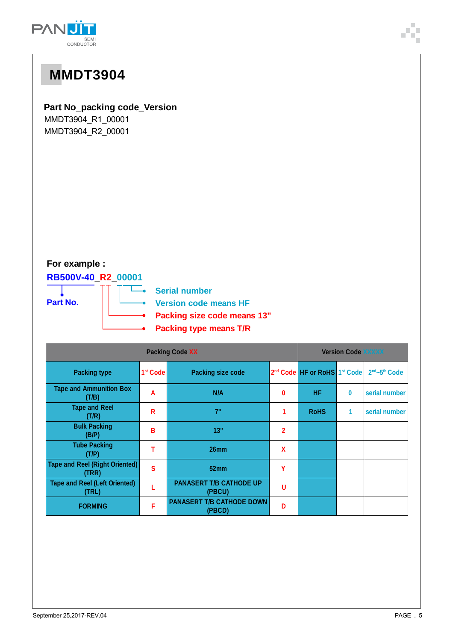

## **Part No\_packing code\_Version**

MMDT3904\_R1\_00001 MMDT3904\_R2\_00001

## **For example :**

## **RB500V-40\_R2\_00001**





| <b>Packing Code XX</b>                         |                      |                                            | <b>Version Code XXXXX</b> |                                                      |   |                                       |
|------------------------------------------------|----------------------|--------------------------------------------|---------------------------|------------------------------------------------------|---|---------------------------------------|
| <b>Packing type</b>                            | 1 <sup>st</sup> Code | <b>Packing size code</b>                   |                           | 2 <sup>nd</sup> Code HF or RoHS 1 <sup>st</sup> Code |   | 2 <sup>nd</sup> ~5 <sup>th</sup> Code |
| <b>Tape and Ammunition Box</b><br>(T/B)        | A                    | N/A                                        | 0                         | <b>HF</b>                                            | 0 | serial number                         |
| <b>Tape and Reel</b><br>(T/R)                  | R                    | 7"                                         |                           | <b>RoHS</b>                                          | 1 | serial number                         |
| <b>Bulk Packing</b><br>(B/P)                   | В                    | 13"                                        | $\mathbf 2$               |                                                      |   |                                       |
| <b>Tube Packing</b><br>(T/P)                   |                      | 26 <sub>mm</sub>                           | χ                         |                                                      |   |                                       |
| <b>Tape and Reel (Right Oriented)</b><br>(TRR) | Ś                    | 52mm                                       | ۷                         |                                                      |   |                                       |
| <b>Tape and Reel (Left Oriented)</b><br>(TRL)  |                      | <b>PANASERT T/B CATHODE UP</b><br>(PBCU)   | U                         |                                                      |   |                                       |
| <b>FORMING</b>                                 | F                    | <b>PANASERT T/B CATHODE DOWN</b><br>(PBCD) | n                         |                                                      |   |                                       |